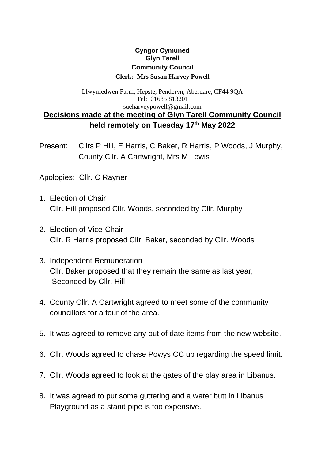## **Cyngor Cymuned Glyn Tarell Community Council Clerk: Mrs Susan Harvey Powell**

## Llwynfedwen Farm, Hepste, Penderyn, Aberdare, CF44 9QA Tel: 01685 813201 [sueharveypowell@gmail.com](mailto:sharveypowell@hotmail.com) **Decisions made at the meeting of Glyn Tarell Community Council held remotely on Tuesday 17 th May 2022**

Present: Cllrs P Hill, E Harris, C Baker, R Harris, P Woods, J Murphy, County Cllr. A Cartwright, Mrs M Lewis

Apologies: Cllr. C Rayner

- 1. Election of Chair Cllr. Hill proposed Cllr. Woods, seconded by Cllr. Murphy
- 2. Election of Vice-Chair Cllr. R Harris proposed Cllr. Baker, seconded by Cllr. Woods
- 3. Independent Remuneration Cllr. Baker proposed that they remain the same as last year, Seconded by Cllr. Hill
- 4. County Cllr. A Cartwright agreed to meet some of the community councillors for a tour of the area.
- 5. It was agreed to remove any out of date items from the new website.
- 6. Cllr. Woods agreed to chase Powys CC up regarding the speed limit.
- 7. Cllr. Woods agreed to look at the gates of the play area in Libanus.
- 8. It was agreed to put some guttering and a water butt in Libanus Playground as a stand pipe is too expensive.